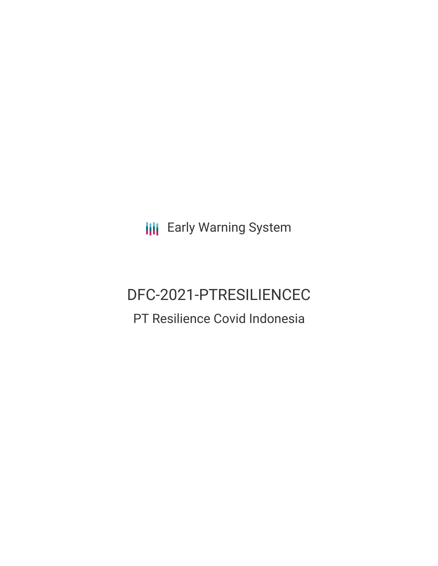**III** Early Warning System

# DFC-2021-PTRESILIENCEC PT Resilience Covid Indonesia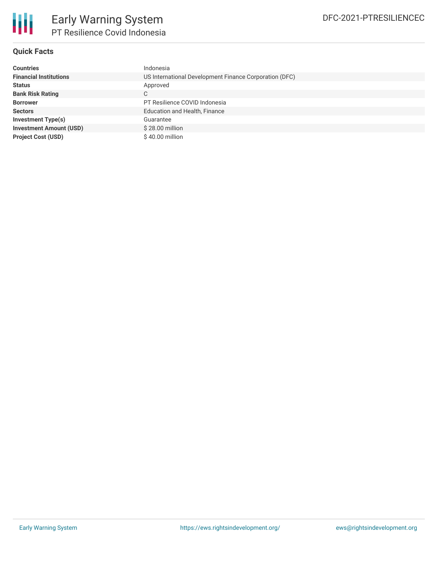

## **Quick Facts**

| <b>Countries</b>               | Indonesia                                              |
|--------------------------------|--------------------------------------------------------|
| <b>Financial Institutions</b>  | US International Development Finance Corporation (DFC) |
| <b>Status</b>                  | Approved                                               |
| <b>Bank Risk Rating</b>        | С                                                      |
| <b>Borrower</b>                | PT Resilience COVID Indonesia                          |
| <b>Sectors</b>                 | <b>Education and Health, Finance</b>                   |
| Investment Type(s)             | Guarantee                                              |
| <b>Investment Amount (USD)</b> | \$28,00 million                                        |
| <b>Project Cost (USD)</b>      | $$40.00$ million                                       |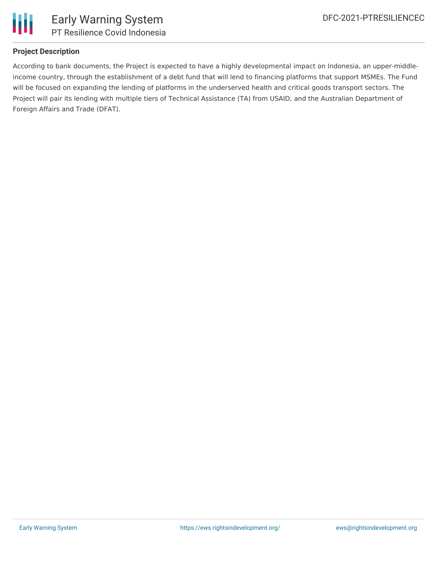

### **Project Description**

According to bank documents, the Project is expected to have a highly developmental impact on Indonesia, an upper-middleincome country, through the establishment of a debt fund that will lend to financing platforms that support MSMEs. The Fund will be focused on expanding the lending of platforms in the underserved health and critical goods transport sectors. The Project will pair its lending with multiple tiers of Technical Assistance (TA) from USAID, and the Australian Department of Foreign Affairs and Trade (DFAT).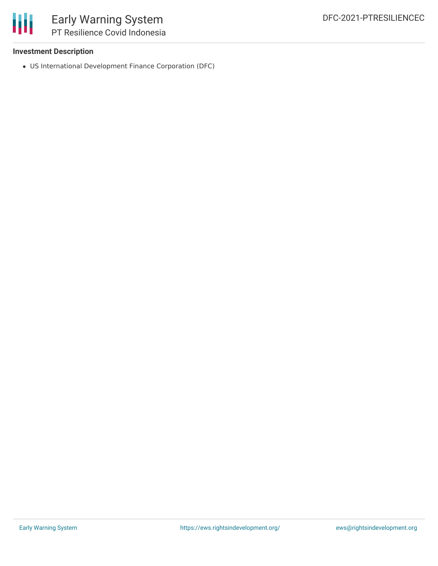

#### **Investment Description**

US International Development Finance Corporation (DFC)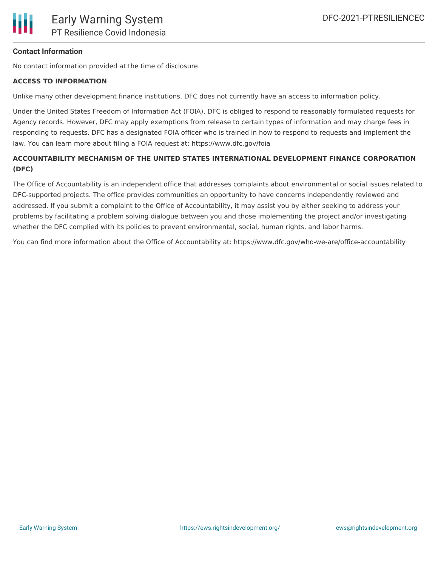

#### **Contact Information**

No contact information provided at the time of disclosure.

#### **ACCESS TO INFORMATION**

Unlike many other development finance institutions, DFC does not currently have an access to information policy.

Under the United States Freedom of Information Act (FOIA), DFC is obliged to respond to reasonably formulated requests for Agency records. However, DFC may apply exemptions from release to certain types of information and may charge fees in responding to requests. DFC has a designated FOIA officer who is trained in how to respond to requests and implement the law. You can learn more about filing a FOIA request at: https://www.dfc.gov/foia

## **ACCOUNTABILITY MECHANISM OF THE UNITED STATES INTERNATIONAL DEVELOPMENT FINANCE CORPORATION (DFC)**

The Office of Accountability is an independent office that addresses complaints about environmental or social issues related to DFC-supported projects. The office provides communities an opportunity to have concerns independently reviewed and addressed. If you submit a complaint to the Office of Accountability, it may assist you by either seeking to address your problems by facilitating a problem solving dialogue between you and those implementing the project and/or investigating whether the DFC complied with its policies to prevent environmental, social, human rights, and labor harms.

You can find more information about the Office of Accountability at: https://www.dfc.gov/who-we-are/office-accountability